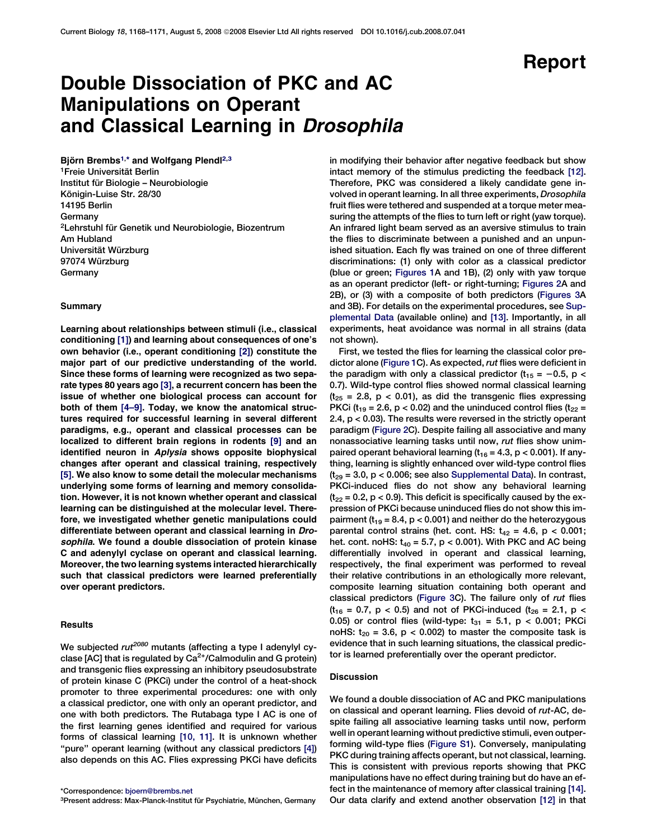## Report

## Double Dissociation of PKC and AC Manipulations on Operant and Classical Learning in Drosophila

Björn Brembs<sup>1,\*</sup> and Wolfgang Plendl<sup>2,3</sup> <sup>1</sup>Freie Universität Berlin Institut für Biologie – Neurobiologie Königin-Luise Str. 28/30 14195 Berlin Germany <sup>2</sup>Lehrstuhl für Genetik und Neurobiologie, Biozentrum Am Hubland Universität Würzburg 97074 Würzburg Germany

#### Summary

Learning about relationships between stimuli (i.e., classical conditioning [\[1\]\)](#page-2-0) and learning about consequences of one's own behavior (i.e., operant conditioning [\[2\]](#page-2-0)) constitute the major part of our predictive understanding of the world. Since these forms of learning were recognized as two separate types 80 years ago [\[3\]](#page-2-0), a recurrent concern has been the issue of whether one biological process can account for both of them [\[4–9\].](#page-2-0) Today, we know the anatomical structures required for successful learning in several different paradigms, e.g., operant and classical processes can be localized to different brain regions in rodents [\[9\]](#page-2-0) and an identified neuron in Aplysia shows opposite biophysical changes after operant and classical training, respectively [\[5\].](#page-2-0) We also know to some detail the molecular mechanisms underlying some forms of learning and memory consolidation. However, it is not known whether operant and classical learning can be distinguished at the molecular level. Therefore, we investigated whether genetic manipulations could differentiate between operant and classical learning in Drosophila. We found a double dissociation of protein kinase C and adenylyl cyclase on operant and classical learning. Moreover, the two learning systems interacted hierarchically such that classical predictors were learned preferentially over operant predictors.

#### **Results**

We subjected rut<sup>2080</sup> mutants (affecting a type I adenylyl cyclase [AC] that is regulated by  $Ca<sup>2+</sup>/Calmodulin$  and G protein) and transgenic flies expressing an inhibitory pseudosubstrate of protein kinase C (PKCi) under the control of a heat-shock promoter to three experimental procedures: one with only a classical predictor, one with only an operant predictor, and one with both predictors. The Rutabaga type I AC is one of the first learning genes identified and required for various forms of classical learning [\[10, 11\].](#page-2-0) It is unknown whether "pure" operant learning (without any classical predictors [\[4\]](#page-2-0)) also depends on this AC. Flies expressing PKCi have deficits

\*Correspondence: [bjoern@brembs.net](mailto:bjoern@brembs.net)

3Present address: Max-Planck-Institut für Psychiatrie, München, Germany

in modifying their behavior after negative feedback but show intact memory of the stimulus predicting the feedback [\[12\]](#page-3-0). Therefore, PKC was considered a likely candidate gene involved in operant learning. In all three experiments, Drosophila fruit flies were tethered and suspended at a torque meter measuring the attempts of the flies to turn left or right (yaw torque). An infrared light beam served as an aversive stimulus to train the flies to discriminate between a punished and an unpunished situation. Each fly was trained on one of three different discriminations: (1) only with color as a classical predictor (blue or green; [Figures 1](#page-1-0)A and 1B), (2) only with yaw torque as an operant predictor (left- or right-turning; [Figures 2A](#page-2-0) and 2B), or (3) with a composite of both predictors ([Figures 3A](#page-3-0) and 3B). For details on the experimental procedures, see [Sup](#page-2-0)[plemental Data](#page-2-0) (available online) and [\[13\].](#page-3-0) Importantly, in all experiments, heat avoidance was normal in all strains (data not shown).

First, we tested the flies for learning the classical color predictor alone [\(Figure 1](#page-1-0)C). As expected, rut flies were deficient in the paradigm with only a classical predictor ( $t_{15} = -0.5$ , p < 0.7). Wild-type control flies showed normal classical learning  $(t_{25} = 2.8, p < 0.01)$ , as did the transgenic flies expressing PKCi ( $t_{19}$  = 2.6, p < 0.02) and the uninduced control flies ( $t_{22}$  = 2.4, p < 0.03). The results were reversed in the strictly operant paradigm [\(Figure 2C](#page-2-0)). Despite failing all associative and many nonassociative learning tasks until now, rut flies show unimpaired operant behavioral learning ( $t_{16}$  = 4.3, p < 0.001). If anything, learning is slightly enhanced over wild-type control flies  $(t_{29} = 3.0, p < 0.006;$  see also [Supplemental Data](#page-2-0)). In contrast, PKCi-induced flies do not show any behavioral learning  $(t_{22} = 0.2, p < 0.9)$ . This deficit is specifically caused by the expression of PKCi because uninduced flies do not show this impairment ( $t_{19}$  = 8.4, p < 0.001) and neither do the heterozygous parental control strains (het. cont. HS:  $t_{42} = 4.6$ , p < 0.001; het. cont. noHS:  $t_{40} = 5.7$ ,  $p < 0.001$ ). With PKC and AC being differentially involved in operant and classical learning, respectively, the final experiment was performed to reveal their relative contributions in an ethologically more relevant, composite learning situation containing both operant and classical predictors [\(Figure 3](#page-3-0)C). The failure only of rut flies  $(t_{16} = 0.7, p < 0.5)$  and not of PKCi-induced  $(t_{26} = 2.1, p <$ 0.05) or control flies (wild-type:  $t_{31} = 5.1$ , p < 0.001; PKCi noHS:  $t_{20}$  = 3.6, p < 0.002) to master the composite task is evidence that in such learning situations, the classical predictor is learned preferentially over the operant predictor.

#### Discussion

We found a double dissociation of AC and PKC manipulations on classical and operant learning. Flies devoid of rut-AC, despite failing all associative learning tasks until now, perform well in operant learning without predictive stimuli, even outperforming wild-type flies [\(Figure S1](#page-2-0)). Conversely, manipulating PKC during training affects operant, but not classical, learning. This is consistent with previous reports showing that PKC manipulations have no effect during training but do have an effect in the maintenance of memory after classical training [\[14\]](#page-3-0). Our data clarify and extend another observation [\[12\]](#page-3-0) in that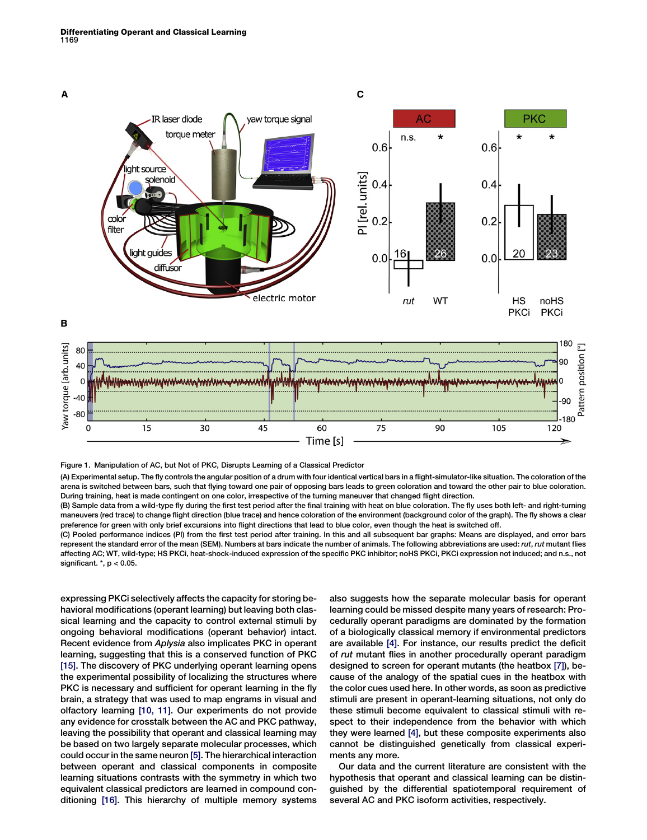<span id="page-1-0"></span>

Figure 1. Manipulation of AC, but Not of PKC, Disrupts Learning of a Classical Predictor

(A) Experimental setup. The fly controls the angular position of a drum with four identical vertical bars in a flight-simulator-like situation. The coloration of the arena is switched between bars, such that flying toward one pair of opposing bars leads to green coloration and toward the other pair to blue coloration. During training, heat is made contingent on one color, irrespective of the turning maneuver that changed flight direction.

(B) Sample data from a wild-type fly during the first test period after the final training with heat on blue coloration. The fly uses both left- and right-turning maneuvers (red trace) to change flight direction (blue trace) and hence coloration of the environment (background color of the graph). The fly shows a clear preference for green with only brief excursions into flight directions that lead to blue color, even though the heat is switched off.

(C) Pooled performance indices (PI) from the first test period after training. In this and all subsequent bar graphs: Means are displayed, and error bars represent the standard error of the mean (SEM). Numbers at bars indicate the number of animals. The following abbreviations are used: rut, rut mutant flies affecting AC; WT, wild-type; HS PKCi, heat-shock-induced expression of the specific PKC inhibitor; noHS PKCi, PKCi expression not induced; and n.s., not significant.  $*$ ,  $p < 0.05$ .

expressing PKCi selectively affects the capacity for storing behavioral modifications (operant learning) but leaving both classical learning and the capacity to control external stimuli by ongoing behavioral modifications (operant behavior) intact. Recent evidence from Aplysia also implicates PKC in operant learning, suggesting that this is a conserved function of PKC [\[15\].](#page-3-0) The discovery of PKC underlying operant learning opens the experimental possibility of localizing the structures where PKC is necessary and sufficient for operant learning in the fly brain, a strategy that was used to map engrams in visual and olfactory learning [\[10, 11\]](#page-2-0). Our experiments do not provide any evidence for crosstalk between the AC and PKC pathway, leaving the possibility that operant and classical learning may be based on two largely separate molecular processes, which could occur in the same neuron [\[5\]](#page-2-0). The hierarchical interaction between operant and classical components in composite learning situations contrasts with the symmetry in which two equivalent classical predictors are learned in compound conditioning [\[16\]](#page-3-0). This hierarchy of multiple memory systems

also suggests how the separate molecular basis for operant learning could be missed despite many years of research: Procedurally operant paradigms are dominated by the formation of a biologically classical memory if environmental predictors are available [\[4\]](#page-2-0). For instance, our results predict the deficit of rut mutant flies in another procedurally operant paradigm designed to screen for operant mutants (the heatbox [\[7\]](#page-2-0)), because of the analogy of the spatial cues in the heatbox with the color cues used here. In other words, as soon as predictive stimuli are present in operant-learning situations, not only do these stimuli become equivalent to classical stimuli with respect to their independence from the behavior with which they were learned [\[4\]](#page-2-0), but these composite experiments also cannot be distinguished genetically from classical experiments any more.

Our data and the current literature are consistent with the hypothesis that operant and classical learning can be distinguished by the differential spatiotemporal requirement of several AC and PKC isoform activities, respectively.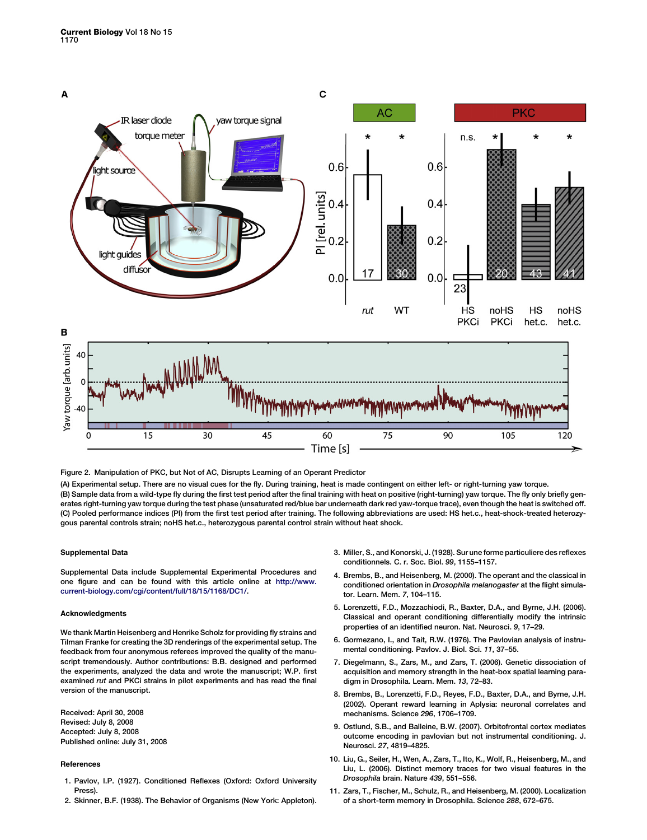<span id="page-2-0"></span>

Figure 2. Manipulation of PKC, but Not of AC, Disrupts Learning of an Operant Predictor

(A) Experimental setup. There are no visual cues for the fly. During training, heat is made contingent on either left- or right-turning yaw torque. (B) Sample data from a wild-type fly during the first test period after the final training with heat on positive (right-turning) yaw torque. The fly only briefly generates right-turning yaw torque during the test phase (unsaturated red/blue bar underneath dark red yaw-torque trace), even though the heat is switched off. (C) Pooled performance indices (PI) from the first test period after training. The following abbreviations are used: HS het.c., heat-shock-treated heterozygous parental controls strain; noHS het.c., heterozygous parental control strain without heat shock.

#### Supplemental Data

Supplemental Data include Supplemental Experimental Procedures and one figure and can be found with this article online at [http://www.](http://www.current-biology.com/cgi/content/full/18/15/1168/DC1/) [current-biology.com/cgi/content/full/18/15/1168/DC1/](http://www.current-biology.com/cgi/content/full/18/15/1168/DC1/).

#### Acknowledgments

We thank Martin Heisenberg and Henrike Scholz for providing fly strains and Tilman Franke for creating the 3D renderings of the experimental setup. The feedback from four anonymous referees improved the quality of the manuscript tremendously. Author contributions: B.B. designed and performed the experiments, analyzed the data and wrote the manuscript; W.P. first examined rut and PKCi strains in pilot experiments and has read the final version of the manuscript.

Received: April 30, 2008 Revised: July 8, 2008 Accepted: July 8, 2008 Published online: July 31, 2008

#### References

- 1. Pavlov, I.P. (1927). Conditioned Reflexes (Oxford: Oxford University Press).
- 2. Skinner, B.F. (1938). The Behavior of Organisms (New York: Appleton).
- 3. Miller, S., and Konorski, J. (1928). Sur une forme particuliere des reflexes conditionnels. C. r. Soc. Biol. 99, 1155–1157.
- 4. Brembs, B., and Heisenberg, M. (2000). The operant and the classical in conditioned orientation in Drosophila melanogaster at the flight simulator. Learn. Mem. 7, 104–115.
- 5. Lorenzetti, F.D., Mozzachiodi, R., Baxter, D.A., and Byrne, J.H. (2006). Classical and operant conditioning differentially modify the intrinsic properties of an identified neuron. Nat. Neurosci. 9, 17–29.
- 6. Gormezano, I., and Tait, R.W. (1976). The Pavlovian analysis of instrumental conditioning. Pavlov. J. Biol. Sci. 11, 37–55.
- 7. Diegelmann, S., Zars, M., and Zars, T. (2006). Genetic dissociation of acquisition and memory strength in the heat-box spatial learning paradigm in Drosophila. Learn. Mem. 13, 72–83.
- 8. Brembs, B., Lorenzetti, F.D., Reyes, F.D., Baxter, D.A., and Byrne, J.H. (2002). Operant reward learning in Aplysia: neuronal correlates and mechanisms. Science 296, 1706–1709.
- 9. Ostlund, S.B., and Balleine, B.W. (2007). Orbitofrontal cortex mediates outcome encoding in pavlovian but not instrumental conditioning. J. Neurosci. 27, 4819–4825.
- 10. Liu, G., Seiler, H., Wen, A., Zars, T., Ito, K., Wolf, R., Heisenberg, M., and Liu, L. (2006). Distinct memory traces for two visual features in the Drosophila brain. Nature 439, 551–556.
- 11. Zars, T., Fischer, M., Schulz, R., and Heisenberg, M. (2000). Localization of a short-term memory in Drosophila. Science 288, 672–675.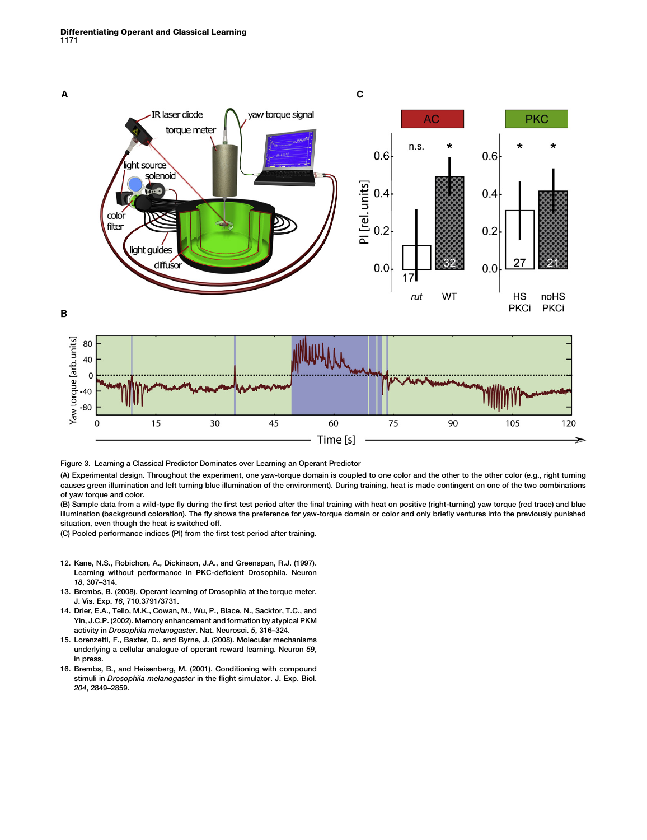<span id="page-3-0"></span>

Figure 3. Learning a Classical Predictor Dominates over Learning an Operant Predictor

(A) Experimental design. Throughout the experiment, one yaw-torque domain is coupled to one color and the other to the other color (e.g., right turning causes green illumination and left turning blue illumination of the environment). During training, heat is made contingent on one of the two combinations of yaw torque and color.

(B) Sample data from a wild-type fly during the first test period after the final training with heat on positive (right-turning) yaw torque (red trace) and blue illumination (background coloration). The fly shows the preference for yaw-torque domain or color and only briefly ventures into the previously punished situation, even though the heat is switched off.

(C) Pooled performance indices (PI) from the first test period after training.

- 12. Kane, N.S., Robichon, A., Dickinson, J.A., and Greenspan, R.J. (1997). Learning without performance in PKC-deficient Drosophila. Neuron 18, 307–314.
- 13. Brembs, B. (2008). Operant learning of Drosophila at the torque meter. J. Vis. Exp. 16, 710.3791/3731.
- 14. Drier, E.A., Tello, M.K., Cowan, M., Wu, P., Blace, N., Sacktor, T.C., and Yin, J.C.P. (2002). Memory enhancement and formation by atypical PKM activity in Drosophila melanogaster. Nat. Neurosci. 5, 316–324.
- 15. Lorenzetti, F., Baxter, D., and Byrne, J. (2008). Molecular mechanisms underlying a cellular analogue of operant reward learning. Neuron 59, in press.
- 16. Brembs, B., and Heisenberg, M. (2001). Conditioning with compound stimuli in Drosophila melanogaster in the flight simulator. J. Exp. Biol. 204, 2849–2859.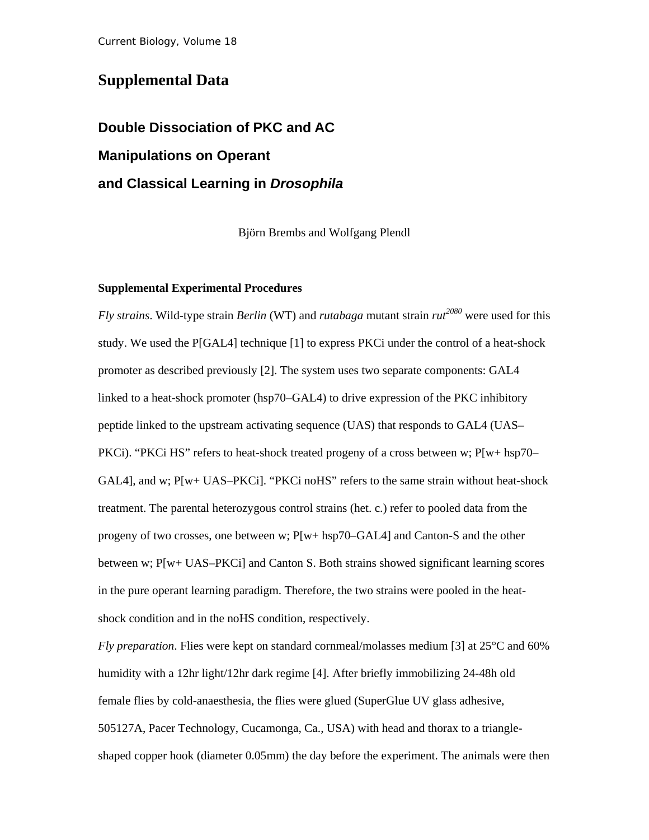### **Supplemental Data**

# **Double Dissociation of PKC and AC Manipulations on Operant and Classical Learning in** *Drosophila*

Björn Brembs and Wolfgang Plendl

#### **Supplemental Experimental Procedures**

*Fly strains*. Wild-type strain *Berlin* (WT) and *rutabaga* mutant strain  $rut^{2080}$  were used for this study. We used the P[GAL4] technique [1] to express PKCi under the control of a heat-shock promoter as described previously [2]. The system uses two separate components: GAL4 linked to a heat-shock promoter (hsp70–GAL4) to drive expression of the PKC inhibitory peptide linked to the upstream activating sequence (UAS) that responds to GAL4 (UAS– PKCi). "PKCi HS" refers to heat-shock treated progeny of a cross between w; P[w+ hsp70– GAL4], and w; P[w+ UAS–PKCi]. "PKCi noHS" refers to the same strain without heat-shock treatment. The parental heterozygous control strains (het. c.) refer to pooled data from the progeny of two crosses, one between w; P[w+ hsp70–GAL4] and Canton-S and the other between w; P[w+ UAS–PKCi] and Canton S. Both strains showed significant learning scores in the pure operant learning paradigm. Therefore, the two strains were pooled in the heatshock condition and in the noHS condition, respectively.

*Fly preparation*. Flies were kept on standard cornmeal/molasses medium [3] at 25°C and 60% humidity with a 12hr light/12hr dark regime [4]. After briefly immobilizing 24-48h old female flies by cold-anaesthesia, the flies were glued (SuperGlue UV glass adhesive, 505127A, Pacer Technology, Cucamonga, Ca., USA) with head and thorax to a triangleshaped copper hook (diameter 0.05mm) the day before the experiment. The animals were then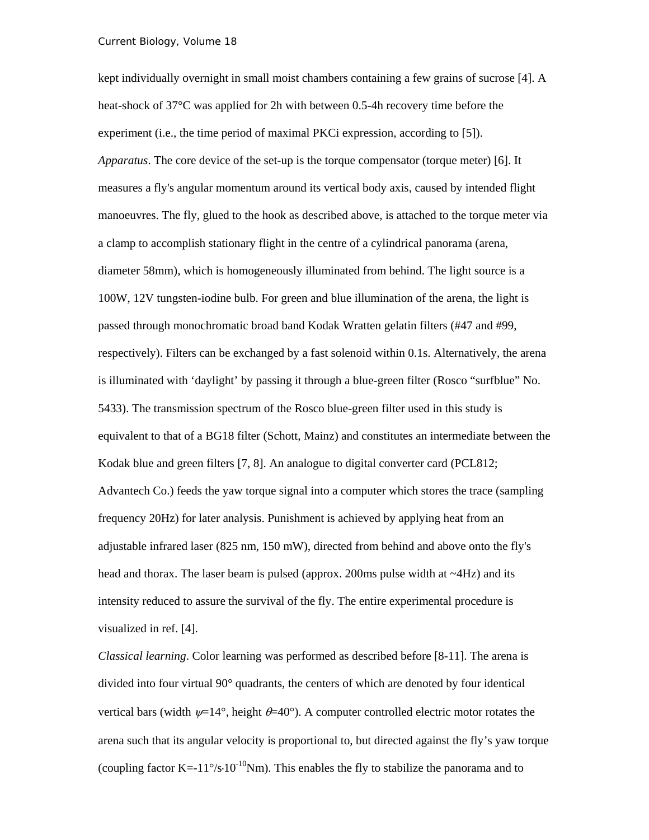kept individually overnight in small moist chambers containing a few grains of sucrose [4]. A heat-shock of 37°C was applied for 2h with between 0.5-4h recovery time before the experiment (i.e., the time period of maximal PKCi expression, according to [5]). *Apparatus*. The core device of the set-up is the torque compensator (torque meter) [6]. It measures a fly's angular momentum around its vertical body axis, caused by intended flight manoeuvres. The fly, glued to the hook as described above, is attached to the torque meter via a clamp to accomplish stationary flight in the centre of a cylindrical panorama (arena, diameter 58mm), which is homogeneously illuminated from behind. The light source is a 100W, 12V tungsten-iodine bulb. For green and blue illumination of the arena, the light is passed through monochromatic broad band Kodak Wratten gelatin filters (#47 and #99, respectively). Filters can be exchanged by a fast solenoid within 0.1s. Alternatively, the arena is illuminated with 'daylight' by passing it through a blue-green filter (Rosco "surfblue" No. 5433). The transmission spectrum of the Rosco blue-green filter used in this study is equivalent to that of a BG18 filter (Schott, Mainz) and constitutes an intermediate between the Kodak blue and green filters [7, 8]. An analogue to digital converter card (PCL812; Advantech Co.) feeds the yaw torque signal into a computer which stores the trace (sampling frequency 20Hz) for later analysis. Punishment is achieved by applying heat from an adjustable infrared laser (825 nm, 150 mW), directed from behind and above onto the fly's head and thorax. The laser beam is pulsed (approx. 200ms pulse width at  $\sim$ 4Hz) and its intensity reduced to assure the survival of the fly. The entire experimental procedure is visualized in ref. [4].

*Classical learning*. Color learning was performed as described before [8-11]. The arena is divided into four virtual 90° quadrants, the centers of which are denoted by four identical vertical bars (width  $\psi$ =14°, height  $\theta$ =40°). A computer controlled electric motor rotates the arena such that its angular velocity is proportional to, but directed against the fly's yaw torque (coupling factor K=-11°/s·10<sup>-10</sup>Nm). This enables the fly to stabilize the panorama and to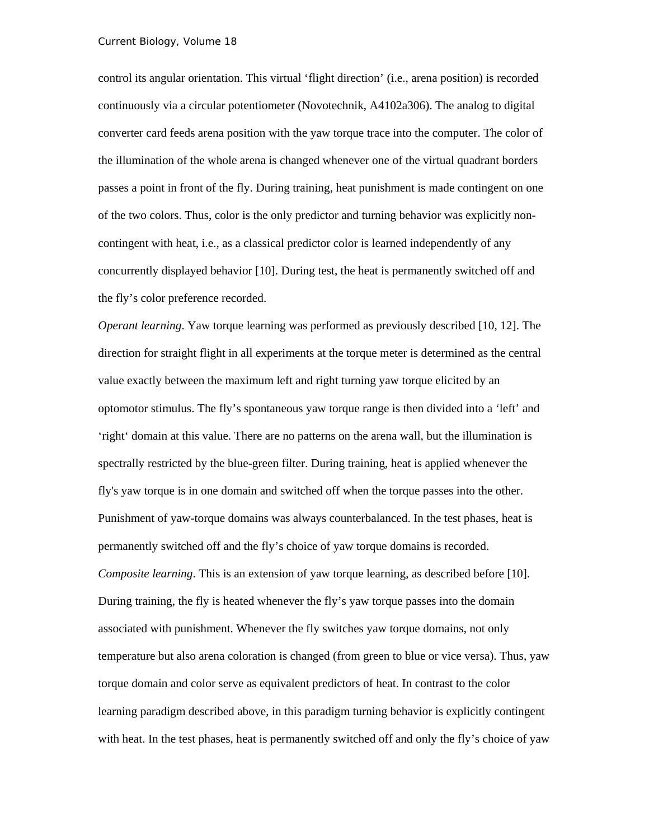control its angular orientation. This virtual 'flight direction' (i.e., arena position) is recorded continuously via a circular potentiometer (Novotechnik, A4102a306). The analog to digital converter card feeds arena position with the yaw torque trace into the computer. The color of the illumination of the whole arena is changed whenever one of the virtual quadrant borders passes a point in front of the fly. During training, heat punishment is made contingent on one of the two colors. Thus, color is the only predictor and turning behavior was explicitly noncontingent with heat, i.e., as a classical predictor color is learned independently of any concurrently displayed behavior [10]. During test, the heat is permanently switched off and the fly's color preference recorded.

*Operant learning*. Yaw torque learning was performed as previously described [10, 12]. The direction for straight flight in all experiments at the torque meter is determined as the central value exactly between the maximum left and right turning yaw torque elicited by an optomotor stimulus. The fly's spontaneous yaw torque range is then divided into a 'left' and 'right' domain at this value. There are no patterns on the arena wall, but the illumination is spectrally restricted by the blue-green filter. During training, heat is applied whenever the fly's yaw torque is in one domain and switched off when the torque passes into the other. Punishment of yaw-torque domains was always counterbalanced. In the test phases, heat is permanently switched off and the fly's choice of yaw torque domains is recorded. *Composite learning*. This is an extension of yaw torque learning, as described before [10]. During training, the fly is heated whenever the fly's yaw torque passes into the domain associated with punishment. Whenever the fly switches yaw torque domains, not only temperature but also arena coloration is changed (from green to blue or vice versa). Thus, yaw torque domain and color serve as equivalent predictors of heat. In contrast to the color learning paradigm described above, in this paradigm turning behavior is explicitly contingent with heat. In the test phases, heat is permanently switched off and only the fly's choice of yaw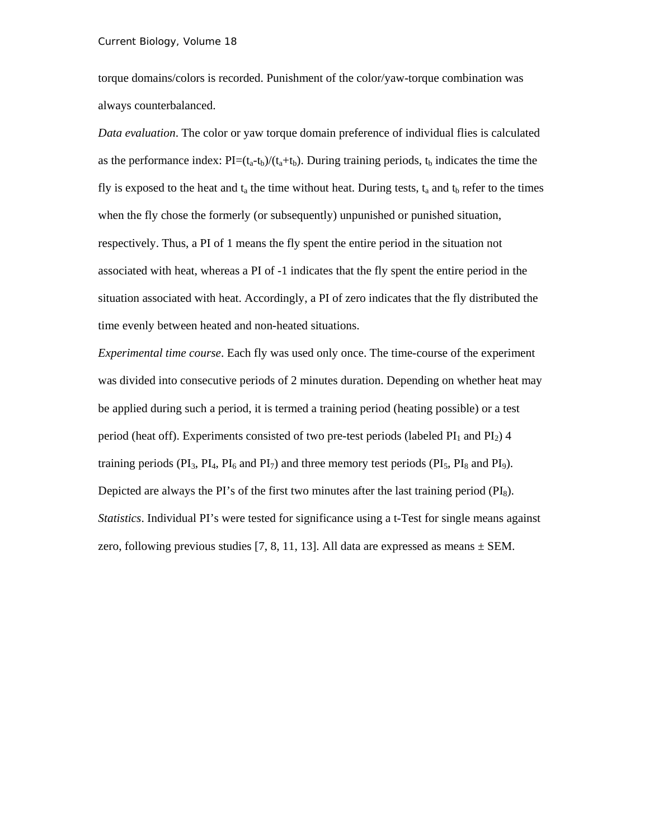torque domains/colors is recorded. Punishment of the color/yaw-torque combination was always counterbalanced.

*Data evaluation*. The color or yaw torque domain preference of individual flies is calculated as the performance index:  $PI=(t_a-t_b)/(t_a+t_b)$ . During training periods,  $t_b$  indicates the time the fly is exposed to the heat and  $t_a$  the time without heat. During tests,  $t_a$  and  $t_b$  refer to the times when the fly chose the formerly (or subsequently) unpunished or punished situation, respectively. Thus, a PI of 1 means the fly spent the entire period in the situation not associated with heat, whereas a PI of -1 indicates that the fly spent the entire period in the situation associated with heat. Accordingly, a PI of zero indicates that the fly distributed the time evenly between heated and non-heated situations.

*Experimental time course*. Each fly was used only once. The time-course of the experiment was divided into consecutive periods of 2 minutes duration. Depending on whether heat may be applied during such a period, it is termed a training period (heating possible) or a test period (heat off). Experiments consisted of two pre-test periods (labeled  $PI_1$  and  $PI_2$ ) 4 training periods ( $PI_3$ ,  $PI_4$ ,  $PI_6$  and  $PI_7$ ) and three memory test periods ( $PI_5$ ,  $PI_8$  and  $PI_9$ ). Depicted are always the PI's of the first two minutes after the last training period  $(PI_8)$ . *Statistics*. Individual PI's were tested for significance using a t-Test for single means against zero, following previous studies [7, 8, 11, 13]. All data are expressed as means  $\pm$  SEM.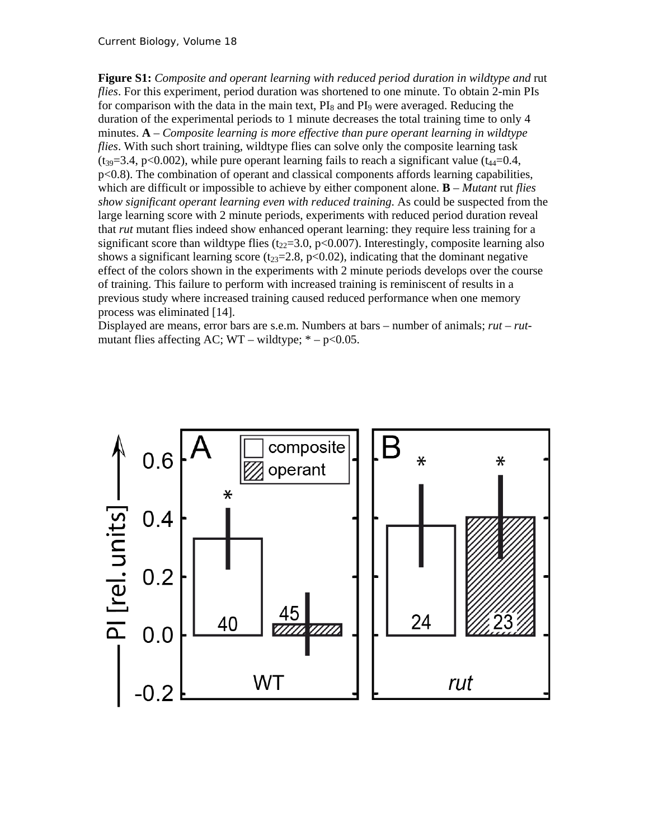Current Biology, Volume *18*

**Figure S1:** *Composite and operant learning with reduced period duration in wildtype and* rut *flies*. For this experiment, period duration was shortened to one minute. To obtain 2-min PIs for comparison with the data in the main text,  $PI_8$  and  $PI_9$  were averaged. Reducing the duration of the experimental periods to 1 minute decreases the total training time to only 4 minutes. **A** – *Composite learning is more effective than pure operant learning in wildtype flies*. With such short training, wildtype flies can solve only the composite learning task  $(t_{39}=3.4, p<0.002)$ , while pure operant learning fails to reach a significant value (t<sub>44</sub>=0.4, p<0.8). The combination of operant and classical components affords learning capabilities, which are difficult or impossible to achieve by either component alone. **B** – *Mutant* rut *flies show significant operant learning even with reduced training*. As could be suspected from the large learning score with 2 minute periods, experiments with reduced period duration reveal that *rut* mutant flies indeed show enhanced operant learning: they require less training for a significant score than wildtype flies ( $t_{22}=3.0$ ,  $p<0.007$ ). Interestingly, composite learning also shows a significant learning score ( $t_{23}=2.8$ ,  $p<0.02$ ), indicating that the dominant negative effect of the colors shown in the experiments with 2 minute periods develops over the course of training. This failure to perform with increased training is reminiscent of results in a previous study where increased training caused reduced performance when one memory process was eliminated [14].

Displayed are means, error bars are s.e.m. Numbers at bars – number of animals; *rut* – *rut*mutant flies affecting AC;  $WT - wildtype$ ;  $* - p < 0.05$ .